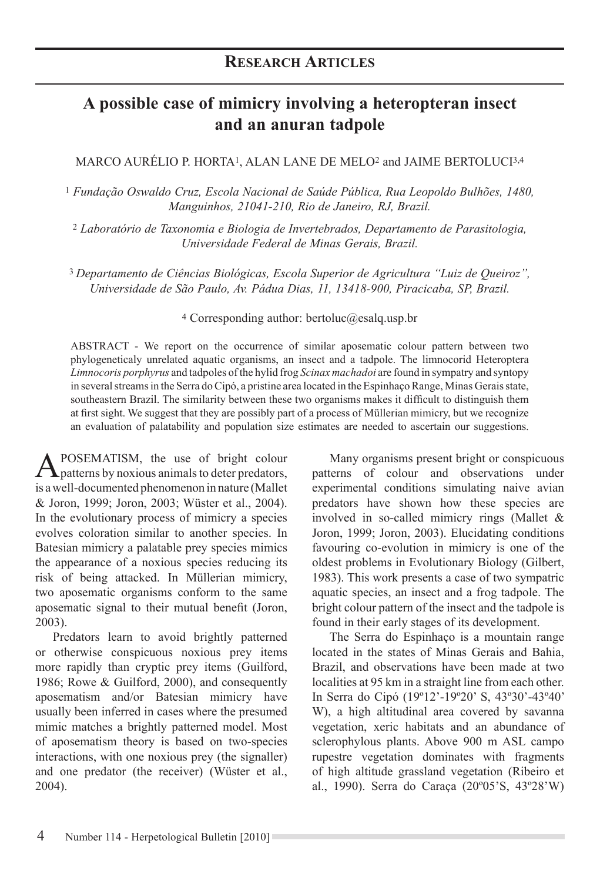# **A possible case of mimicry involving a heteropteran insect and an anuran tadpole**

## MARCO AURÉLIO P. HORTA1, ALAN LANE DE MELO2 and JAIME BERTOLUCI3,4

<sup>1</sup> *Fundação Oswaldo Cruz, Escola Nacional de Saúde Pública, Rua Leopoldo Bulhões, 1480, Manguinhos, 21041-210, Rio de Janeiro, RJ, Brazil.* 

<sup>2</sup> *Laboratório de Taxonomia e Biologia de Invertebrados, Departamento de Parasitologia, Universidade Federal de Minas Gerais, Brazil.*

<sup>3</sup>*Departamento de Ciências Biológicas, Escola Superior de Agricultura "Luiz de Queiroz", Universidade de São Paulo, Av. Pádua Dias, 11, 13418-900, Piracicaba, SP, Brazil.* 

### <sup>4</sup> Corresponding author: bertoluc@esalq.usp.br

ABSTRACT - We report on the occurrence of similar aposematic colour pattern between two phylogeneticaly unrelated aquatic organisms, an insect and a tadpole. The limnocorid Heteroptera *Limnocoris porphyrus* and tadpoles of the hylid frog *Scinax machadoi* are found in sympatry and syntopy in several streams in the Serra do Cipó, a pristine area located in the Espinhaço Range, Minas Gerais state, southeastern Brazil. The similarity between these two organisms makes it difficult to distinguish them at first sight. We suggest that they are possibly part of a process of Müllerian mimicry, but we recognize an evaluation of palatability and population size estimates are needed to ascertain our suggestions.

A POSEMATISM, the use of bright colour patterns by noxious animals to deter predators, is a well-documented phenomenon in nature (Mallet & Joron, 1999; Joron, 2003; Wüster et al., 2004). In the evolutionary process of mimicry a species evolves coloration similar to another species. In Batesian mimicry a palatable prey species mimics the appearance of a noxious species reducing its risk of being attacked. In Müllerian mimicry, two aposematic organisms conform to the same aposematic signal to their mutual benefit (Joron, 2003).

Predators learn to avoid brightly patterned or otherwise conspicuous noxious prey items more rapidly than cryptic prey items (Guilford, 1986; Rowe & Guilford, 2000), and consequently aposematism and/or Batesian mimicry have usually been inferred in cases where the presumed mimic matches a brightly patterned model. Most of aposematism theory is based on two-species interactions, with one noxious prey (the signaller) and one predator (the receiver) (Wüster et al., 2004).

Many organisms present bright or conspicuous patterns of colour and observations under experimental conditions simulating naive avian predators have shown how these species are involved in so-called mimicry rings (Mallet & Joron, 1999; Joron, 2003). Elucidating conditions favouring co-evolution in mimicry is one of the oldest problems in Evolutionary Biology (Gilbert, 1983). This work presents a case of two sympatric aquatic species, an insect and a frog tadpole. The bright colour pattern of the insect and the tadpole is found in their early stages of its development.

The Serra do Espinhaço is a mountain range located in the states of Minas Gerais and Bahia, Brazil, and observations have been made at two localities at 95 km in a straight line from each other. In Serra do Cipó (19º12'-19º20' S, 43º30'-43º40' W), a high altitudinal area covered by savanna vegetation, xeric habitats and an abundance of sclerophylous plants. Above 900 m ASL campo rupestre vegetation dominates with fragments of high altitude grassland vegetation (Ribeiro et al., 1990). Serra do Caraça (20º05'S, 43º28'W)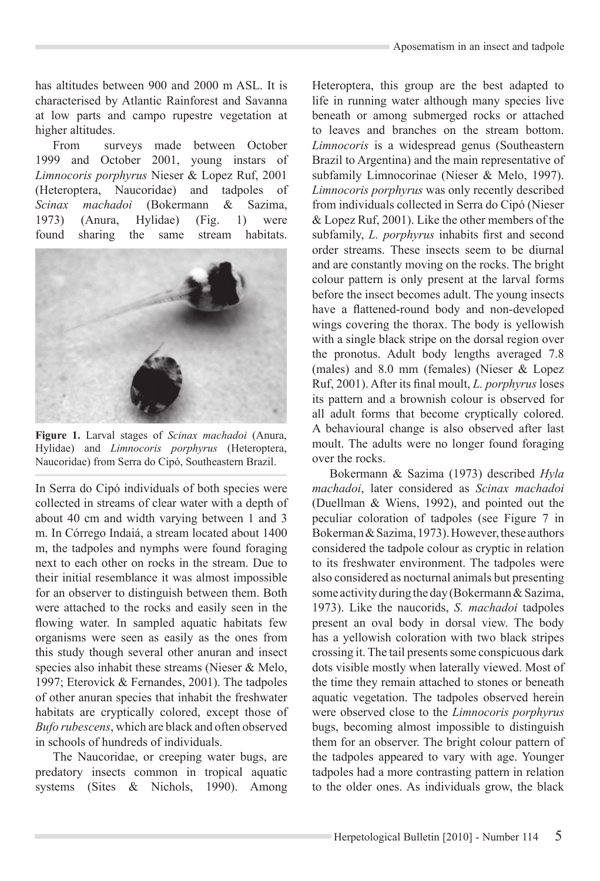has altitudes between 900 and 2000 m ASL. It is characterised by Atlantic Rainforest and Savanna at low parts and campo rupestre vegetation at higher altitudes.

From surveys made between October 1999 and October 2001, young instars of *Limnocoris porphyrus* Nieser & Lopez Ruf, 2001 (Heteroptera, Naucoridae) and tadpoles of *Scinax machadoi* (Bokermann & Sazima, 1973) (Anura, Hylidae) (Fig. 1) were found sharing the same stream habitats.



**Figure 1.** Larval stages of *Scinax machadoi* (Anura, Hylidae) and *Limnocoris porphyrus* (Heteroptera, Naucoridae) from Serra do Cipó, Southeastern Brazil.

In Serra do Cipó individuals of both species were collected in streams of clear water with a depth of about 40 cm and width varying between 1 and 3 m. In Córrego Indaiá, a stream located about 1400 m, the tadpoles and nymphs were found foraging next to each other on rocks in the stream. Due to their initial resemblance it was almost impossible for an observer to distinguish between them. Both were attached to the rocks and easily seen in the flowing water. In sampled aquatic habitats few organisms were seen as easily as the ones from this study though several other anuran and insect species also inhabit these streams (Nieser & Melo, 1997; Eterovick & Fernandes, 2001). The tadpoles of other anuran species that inhabit the freshwater habitats are cryptically colored, except those of *Bufo rubescens*, which are black and often observed in schools of hundreds of individuals.

The Naucoridae, or creeping water bugs, are predatory insects common in tropical aquatic systems (Sites & Nichols, 1990). Among Heteroptera, this group are the best adapted to life in running water although many species live beneath or among submerged rocks or attached to leaves and branches on the stream bottom. *Limnocoris* is a widespread genus (Southeastern Brazil to Argentina) and the main representative of subfamily Limnocorinae (Nieser & Melo, 1997). *Limnocoris porphyrus* was only recently described from individuals collected in Serra do Cipó (Nieser & Lopez Ruf, 2001). Like the other members of the subfamily, *L. porphyrus* inhabits first and second order streams. These insects seem to be diurnal and are constantly moving on the rocks. The bright colour pattern is only present at the larval forms before the insect becomes adult. The young insects have a flattened-round body and non-developed wings covering the thorax. The body is yellowish with a single black stripe on the dorsal region over the pronotus. Adult body lengths averaged 7.8 (males) and 8.0 mm (females) (Nieser & Lopez Ruf, 2001). After its final moult, *L. porphyrus* loses its pattern and a brownish colour is observed for all adult forms that become cryptically colored. A behavioural change is also observed after last moult. The adults were no longer found foraging over the rocks.

Bokermann & Sazima (1973) described *Hyla machadoi*, later considered as *Scinax machadoi*  (Duellman & Wiens, 1992), and pointed out the peculiar coloration of tadpoles (see Figure 7 in Bokerman & Sazima, 1973). However, these authors considered the tadpole colour as cryptic in relation to its freshwater environment. The tadpoles were also considered as nocturnal animals but presenting some activity during the day (Bokermann & Sazima, 1973). Like the naucorids, *S. machadoi* tadpoles present an oval body in dorsal view. The body has a yellowish coloration with two black stripes crossing it. The tail presents some conspicuous dark dots visible mostly when laterally viewed. Most of the time they remain attached to stones or beneath aquatic vegetation. The tadpoles observed herein were observed close to the *Limnocoris porphyrus*  bugs, becoming almost impossible to distinguish them for an observer. The bright colour pattern of the tadpoles appeared to vary with age. Younger tadpoles had a more contrasting pattern in relation to the older ones. As individuals grow, the black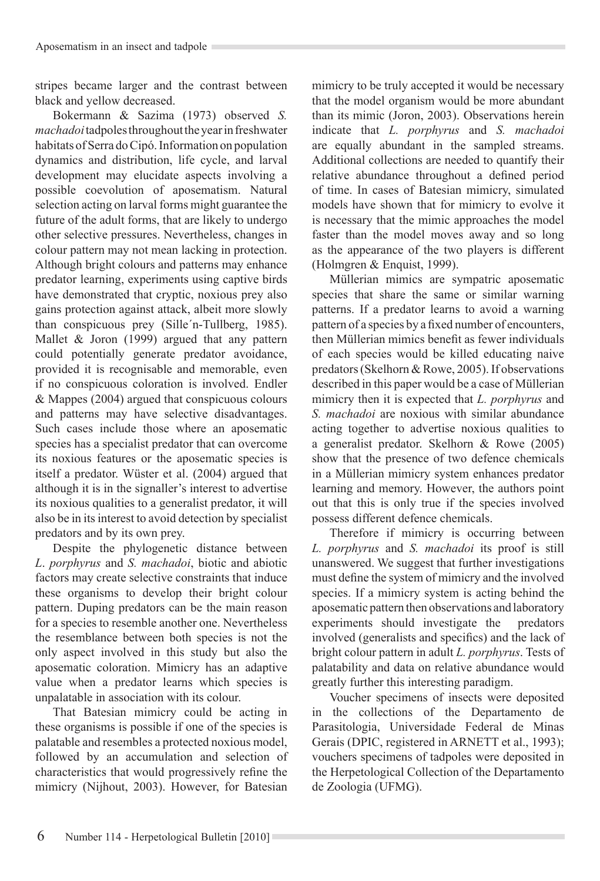stripes became larger and the contrast between black and yellow decreased.

Bokermann & Sazima (1973) observed *S. machadoi* tadpoles throughout the year in freshwater habitats of Serra do Cipó. Information on population dynamics and distribution, life cycle, and larval development may elucidate aspects involving a possible coevolution of aposematism. Natural selection acting on larval forms might guarantee the future of the adult forms, that are likely to undergo other selective pressures. Nevertheless, changes in colour pattern may not mean lacking in protection. Although bright colours and patterns may enhance predator learning, experiments using captive birds have demonstrated that cryptic, noxious prey also gains protection against attack, albeit more slowly than conspicuous prey (Sille´n-Tullberg, 1985). Mallet & Joron (1999) argued that any pattern could potentially generate predator avoidance, provided it is recognisable and memorable, even if no conspicuous coloration is involved. Endler & Mappes (2004) argued that conspicuous colours and patterns may have selective disadvantages. Such cases include those where an aposematic species has a specialist predator that can overcome its noxious features or the aposematic species is itself a predator. Wüster et al. (2004) argued that although it is in the signaller's interest to advertise its noxious qualities to a generalist predator, it will also be in its interest to avoid detection by specialist predators and by its own prey.

Despite the phylogenetic distance between *L*. *porphyrus* and *S. machadoi*, biotic and abiotic factors may create selective constraints that induce these organisms to develop their bright colour pattern. Duping predators can be the main reason for a species to resemble another one. Nevertheless the resemblance between both species is not the only aspect involved in this study but also the aposematic coloration. Mimicry has an adaptive value when a predator learns which species is unpalatable in association with its colour.

That Batesian mimicry could be acting in these organisms is possible if one of the species is palatable and resembles a protected noxious model, followed by an accumulation and selection of characteristics that would progressively refine the mimicry (Nijhout, 2003). However, for Batesian mimicry to be truly accepted it would be necessary that the model organism would be more abundant than its mimic (Joron, 2003). Observations herein indicate that *L. porphyrus* and *S. machadoi* are equally abundant in the sampled streams. Additional collections are needed to quantify their relative abundance throughout a defined period of time. In cases of Batesian mimicry, simulated models have shown that for mimicry to evolve it is necessary that the mimic approaches the model faster than the model moves away and so long as the appearance of the two players is different (Holmgren & Enquist, 1999).

Müllerian mimics are sympatric aposematic species that share the same or similar warning patterns. If a predator learns to avoid a warning pattern of a species by a fixed number of encounters, then Müllerian mimics benefit as fewer individuals of each species would be killed educating naive predators (Skelhorn & Rowe, 2005). If observations described in this paper would be a case of Müllerian mimicry then it is expected that *L. porphyrus* and *S. machadoi* are noxious with similar abundance acting together to advertise noxious qualities to a generalist predator. Skelhorn & Rowe (2005) show that the presence of two defence chemicals in a Müllerian mimicry system enhances predator learning and memory. However, the authors point out that this is only true if the species involved possess different defence chemicals.

Therefore if mimicry is occurring between *L. porphyrus* and *S. machadoi* its proof is still unanswered. We suggest that further investigations must define the system of mimicry and the involved species. If a mimicry system is acting behind the aposematic pattern then observations and laboratory experiments should investigate the predators involved (generalists and specifics) and the lack of bright colour pattern in adult *L. porphyrus*. Tests of palatability and data on relative abundance would greatly further this interesting paradigm.

Voucher specimens of insects were deposited in the collections of the Departamento de Parasitologia, Universidade Federal de Minas Gerais (DPIC, registered in ARNETT et al., 1993); vouchers specimens of tadpoles were deposited in the Herpetological Collection of the Departamento de Zoologia (UFMG).